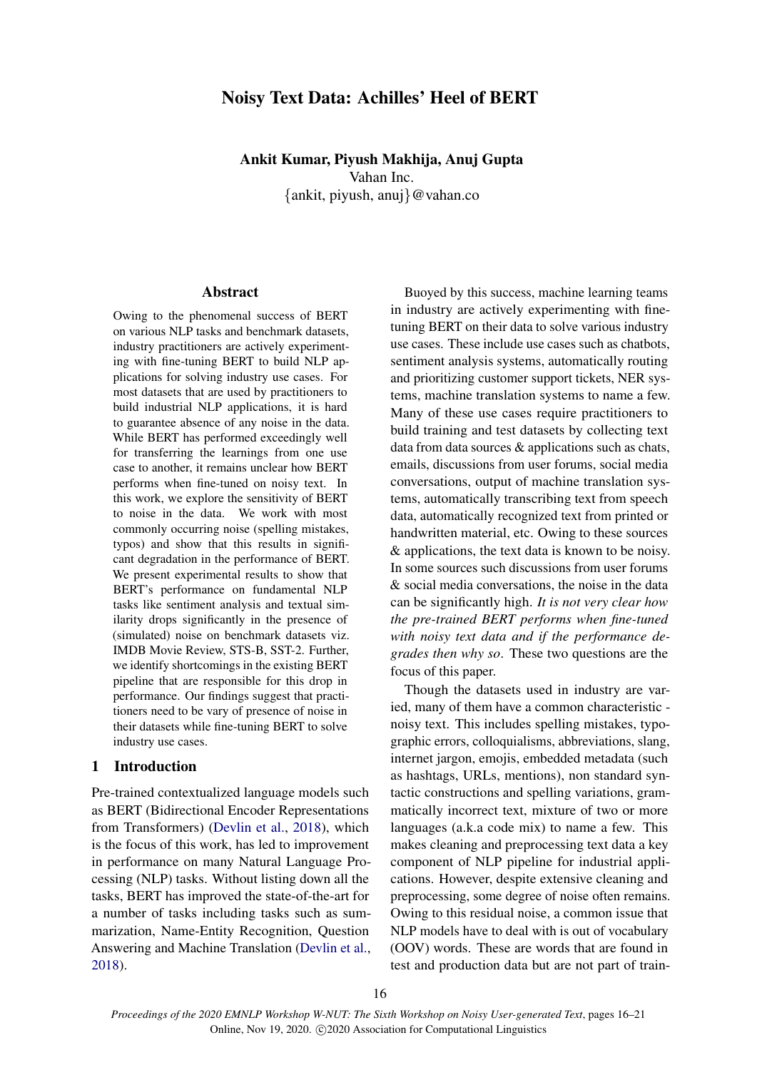# Noisy Text Data: Achilles' Heel of BERT

# Ankit Kumar, Piyush Makhija, Anuj Gupta Vahan Inc. {ankit, piyush, anuj}@vahan.co

## Abstract

Owing to the phenomenal success of BERT on various NLP tasks and benchmark datasets, industry practitioners are actively experimenting with fine-tuning BERT to build NLP applications for solving industry use cases. For most datasets that are used by practitioners to build industrial NLP applications, it is hard to guarantee absence of any noise in the data. While BERT has performed exceedingly well for transferring the learnings from one use case to another, it remains unclear how BERT performs when fine-tuned on noisy text. In this work, we explore the sensitivity of BERT to noise in the data. We work with most commonly occurring noise (spelling mistakes, typos) and show that this results in significant degradation in the performance of BERT. We present experimental results to show that BERT's performance on fundamental NLP tasks like sentiment analysis and textual similarity drops significantly in the presence of (simulated) noise on benchmark datasets viz. IMDB Movie Review, STS-B, SST-2. Further, we identify shortcomings in the existing BERT pipeline that are responsible for this drop in performance. Our findings suggest that practitioners need to be vary of presence of noise in their datasets while fine-tuning BERT to solve industry use cases.

### 1 Introduction

Pre-trained contextualized language models such as BERT (Bidirectional Encoder Representations from Transformers) [\(Devlin et al.,](#page-5-0) [2018\)](#page-5-0), which is the focus of this work, has led to improvement in performance on many Natural Language Processing (NLP) tasks. Without listing down all the tasks, BERT has improved the state-of-the-art for a number of tasks including tasks such as summarization, Name-Entity Recognition, Question Answering and Machine Translation [\(Devlin et al.,](#page-5-0) [2018\)](#page-5-0).

Buoyed by this success, machine learning teams in industry are actively experimenting with finetuning BERT on their data to solve various industry use cases. These include use cases such as chatbots, sentiment analysis systems, automatically routing and prioritizing customer support tickets, NER systems, machine translation systems to name a few. Many of these use cases require practitioners to build training and test datasets by collecting text data from data sources & applications such as chats, emails, discussions from user forums, social media conversations, output of machine translation systems, automatically transcribing text from speech data, automatically recognized text from printed or handwritten material, etc. Owing to these sources & applications, the text data is known to be noisy. In some sources such discussions from user forums & social media conversations, the noise in the data can be significantly high. *It is not very clear how the pre-trained BERT performs when fine-tuned with noisy text data and if the performance degrades then why so*. These two questions are the focus of this paper.

Though the datasets used in industry are varied, many of them have a common characteristic noisy text. This includes spelling mistakes, typographic errors, colloquialisms, abbreviations, slang, internet jargon, emojis, embedded metadata (such as hashtags, URLs, mentions), non standard syntactic constructions and spelling variations, grammatically incorrect text, mixture of two or more languages (a.k.a code mix) to name a few. This makes cleaning and preprocessing text data a key component of NLP pipeline for industrial applications. However, despite extensive cleaning and preprocessing, some degree of noise often remains. Owing to this residual noise, a common issue that NLP models have to deal with is out of vocabulary (OOV) words. These are words that are found in test and production data but are not part of train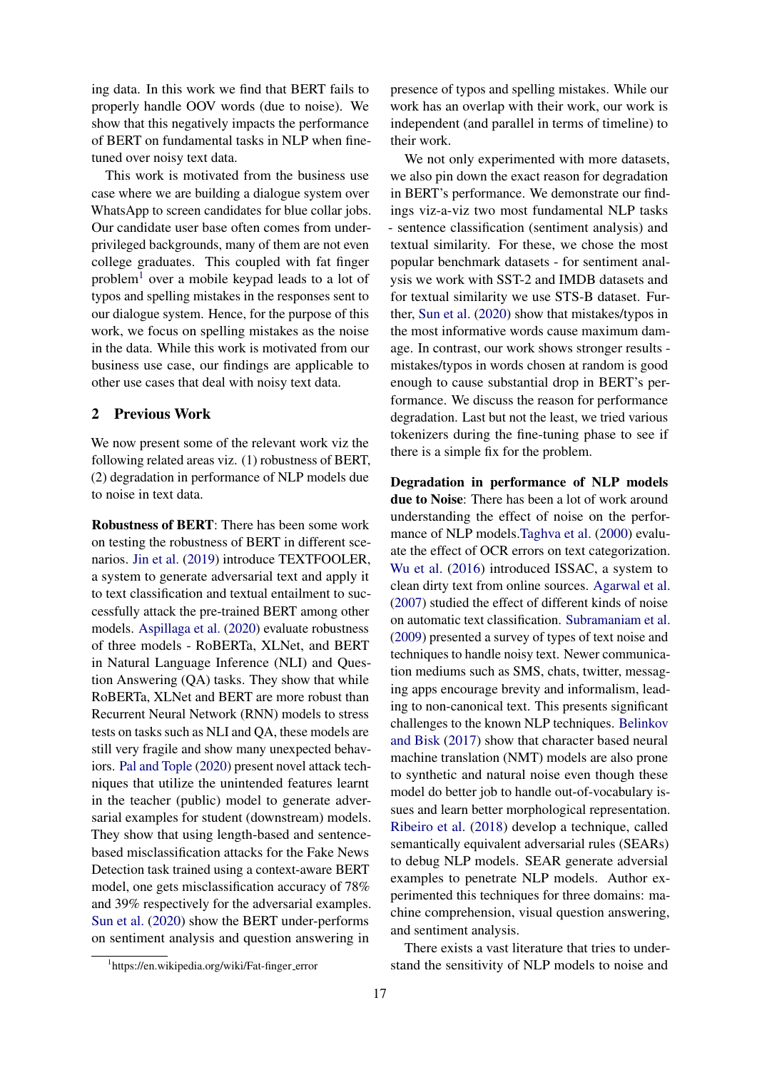ing data. In this work we find that BERT fails to properly handle OOV words (due to noise). We show that this negatively impacts the performance of BERT on fundamental tasks in NLP when finetuned over noisy text data.

This work is motivated from the business use case where we are building a dialogue system over WhatsApp to screen candidates for blue collar jobs. Our candidate user base often comes from underprivileged backgrounds, many of them are not even college graduates. This coupled with fat finger problem<sup>[1](#page-1-0)</sup> over a mobile keypad leads to a lot of typos and spelling mistakes in the responses sent to our dialogue system. Hence, for the purpose of this work, we focus on spelling mistakes as the noise in the data. While this work is motivated from our business use case, our findings are applicable to other use cases that deal with noisy text data.

# 2 Previous Work

We now present some of the relevant work viz the following related areas viz. (1) robustness of BERT, (2) degradation in performance of NLP models due to noise in text data.

Robustness of BERT: There has been some work on testing the robustness of BERT in different scenarios. [Jin et al.](#page-5-1) [\(2019\)](#page-5-1) introduce TEXTFOOLER, a system to generate adversarial text and apply it to text classification and textual entailment to successfully attack the pre-trained BERT among other models. [Aspillaga et al.](#page-5-2) [\(2020\)](#page-5-2) evaluate robustness of three models - RoBERTa, XLNet, and BERT in Natural Language Inference (NLI) and Question Answering (QA) tasks. They show that while RoBERTa, XLNet and BERT are more robust than Recurrent Neural Network (RNN) models to stress tests on tasks such as NLI and QA, these models are still very fragile and show many unexpected behaviors. [Pal and Tople](#page-5-3) [\(2020\)](#page-5-3) present novel attack techniques that utilize the unintended features learnt in the teacher (public) model to generate adversarial examples for student (downstream) models. They show that using length-based and sentencebased misclassification attacks for the Fake News Detection task trained using a context-aware BERT model, one gets misclassification accuracy of 78% and 39% respectively for the adversarial examples. [Sun et al.](#page-5-4) [\(2020\)](#page-5-4) show the BERT under-performs on sentiment analysis and question answering in

presence of typos and spelling mistakes. While our work has an overlap with their work, our work is independent (and parallel in terms of timeline) to their work.

We not only experimented with more datasets, we also pin down the exact reason for degradation in BERT's performance. We demonstrate our findings viz-a-viz two most fundamental NLP tasks - sentence classification (sentiment analysis) and textual similarity. For these, we chose the most popular benchmark datasets - for sentiment analysis we work with SST-2 and IMDB datasets and for textual similarity we use STS-B dataset. Further, [Sun et al.](#page-5-4) [\(2020\)](#page-5-4) show that mistakes/typos in the most informative words cause maximum damage. In contrast, our work shows stronger results mistakes/typos in words chosen at random is good enough to cause substantial drop in BERT's performance. We discuss the reason for performance degradation. Last but not the least, we tried various tokenizers during the fine-tuning phase to see if there is a simple fix for the problem.

Degradation in performance of NLP models due to Noise: There has been a lot of work around understanding the effect of noise on the performance of NLP models[.Taghva et al.](#page-5-5) [\(2000\)](#page-5-5) evaluate the effect of OCR errors on text categorization. [Wu et al.](#page-5-6) [\(2016\)](#page-5-6) introduced ISSAC, a system to clean dirty text from online sources. [Agarwal et al.](#page-5-7) [\(2007\)](#page-5-7) studied the effect of different kinds of noise on automatic text classification. [Subramaniam et al.](#page-5-8) [\(2009\)](#page-5-8) presented a survey of types of text noise and techniques to handle noisy text. Newer communication mediums such as SMS, chats, twitter, messaging apps encourage brevity and informalism, leading to non-canonical text. This presents significant challenges to the known NLP techniques. [Belinkov](#page-5-9) [and Bisk](#page-5-9) [\(2017\)](#page-5-9) show that character based neural machine translation (NMT) models are also prone to synthetic and natural noise even though these model do better job to handle out-of-vocabulary issues and learn better morphological representation. [Ribeiro et al.](#page-5-10) [\(2018\)](#page-5-10) develop a technique, called semantically equivalent adversarial rules (SEARs) to debug NLP models. SEAR generate adversial examples to penetrate NLP models. Author experimented this techniques for three domains: machine comprehension, visual question answering, and sentiment analysis.

There exists a vast literature that tries to understand the sensitivity of NLP models to noise and

<span id="page-1-0"></span><sup>&</sup>lt;sup>1</sup>https://en.wikipedia.org/wiki/Fat-finger\_error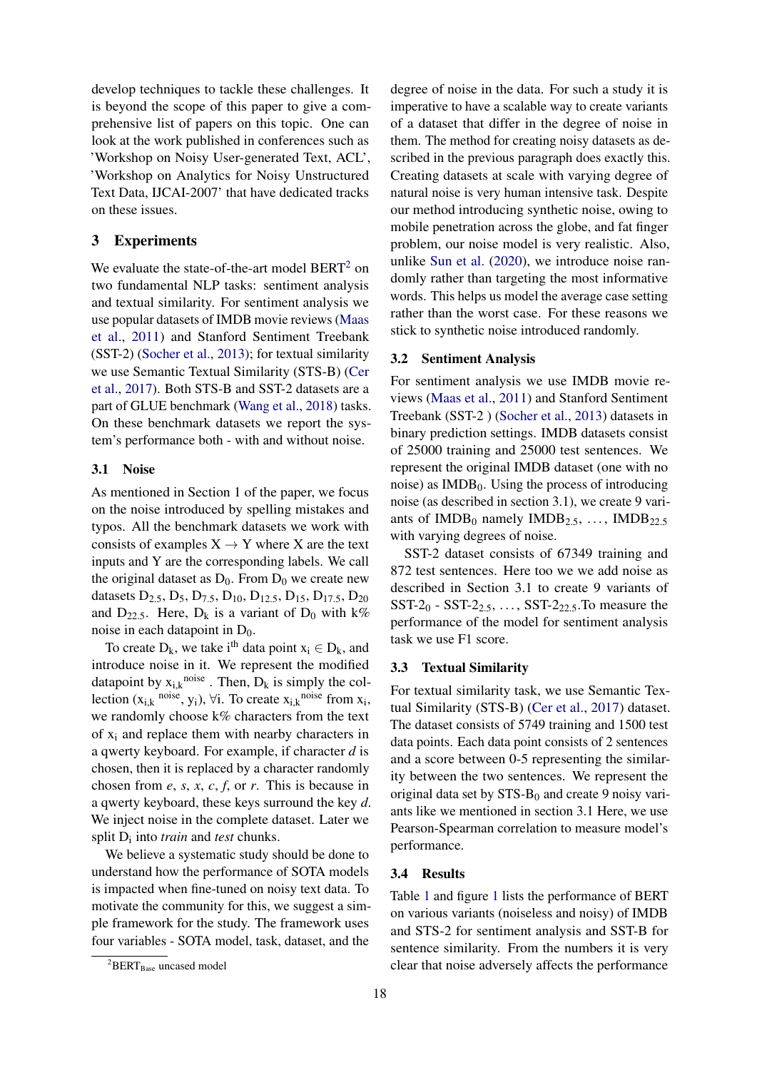develop techniques to tackle these challenges. It is beyond the scope of this paper to give a comprehensive list of papers on this topic. One can look at the work published in conferences such as 'Workshop on Noisy User-generated Text, ACL', 'Workshop on Analytics for Noisy Unstructured Text Data, IJCAI-2007' that have dedicated tracks on these issues.

# 3 Experiments

We evaluate the state-of-the-art model BERT<sup>[2](#page-2-0)</sup> on two fundamental NLP tasks: sentiment analysis and textual similarity. For sentiment analysis we use popular datasets of IMDB movie reviews [\(Maas](#page-5-11) [et al.,](#page-5-11) [2011\)](#page-5-11) and Stanford Sentiment Treebank (SST-2) [\(Socher et al.,](#page-5-12) [2013\)](#page-5-12); for textual similarity we use Semantic Textual Similarity (STS-B) [\(Cer](#page-5-13) [et al.,](#page-5-13) [2017\)](#page-5-13). Both STS-B and SST-2 datasets are a part of GLUE benchmark [\(Wang et al.,](#page-5-14) [2018\)](#page-5-14) tasks. On these benchmark datasets we report the system's performance both - with and without noise.

### 3.1 Noise

As mentioned in Section 1 of the paper, we focus on the noise introduced by spelling mistakes and typos. All the benchmark datasets we work with consists of examples  $X \rightarrow Y$  where X are the text inputs and Y are the corresponding labels. We call the original dataset as  $D_0$ . From  $D_0$  we create new datasets  $D_{2.5}$ ,  $D_5$ ,  $D_{7.5}$ ,  $D_{10}$ ,  $D_{12.5}$ ,  $D_{15}$ ,  $D_{17.5}$ ,  $D_{20}$ and  $D_{22.5}$ . Here,  $D_k$  is a variant of  $D_0$  with k% noise in each datapoint in  $D_0$ .

To create  $D_k$ , we take i<sup>th</sup> data point  $x_i \in D_k$ , and introduce noise in it. We represent the modified datapoint by  $x_{i,k}$ <sup>noise</sup>. Then,  $D_k$  is simply the collection  $(x_{i,k}$  <sup>noise</sup>, y<sub>i</sub>),  $\forall i$ . To create  $x_{i,k}$ <sup>noise</sup> from  $x_i$ , we randomly choose k% characters from the text of  $x_i$  and replace them with nearby characters in a qwerty keyboard. For example, if character *d* is chosen, then it is replaced by a character randomly chosen from *e*, *s*, *x*, *c*, *f*, or *r*. This is because in a qwerty keyboard, these keys surround the key *d*. We inject noise in the complete dataset. Later we split  $D_i$  into *train* and *test* chunks.

We believe a systematic study should be done to understand how the performance of SOTA models is impacted when fine-tuned on noisy text data. To motivate the community for this, we suggest a simple framework for the study. The framework uses four variables - SOTA model, task, dataset, and the

scribed in the previous paragraph does exactly this. Creating datasets at scale with varying degree of natural noise is very human intensive task. Despite our method introducing synthetic noise, owing to mobile penetration across the globe, and fat finger problem, our noise model is very realistic. Also, unlike [Sun et al.](#page-5-4) [\(2020\)](#page-5-4), we introduce noise randomly rather than targeting the most informative words. This helps us model the average case setting rather than the worst case. For these reasons we stick to synthetic noise introduced randomly. 3.2 Sentiment Analysis For sentiment analysis we use IMDB movie reviews [\(Maas et al.,](#page-5-11) [2011\)](#page-5-11) and Stanford Sentiment Treebank (SST-2 ) [\(Socher et al.,](#page-5-12) [2013\)](#page-5-12) datasets in binary prediction settings. IMDB datasets consist of 25000 training and 25000 test sentences. We

degree of noise in the data. For such a study it is imperative to have a scalable way to create variants of a dataset that differ in the degree of noise in them. The method for creating noisy datasets as de-

represent the original IMDB dataset (one with no noise) as  $IMDB<sub>0</sub>$ . Using the process of introducing noise (as described in section 3.1), we create 9 variants of  $IMDB<sub>0</sub>$  namely  $IMDB<sub>2.5</sub>, ..., IMDB<sub>22.5</sub>$ with varying degrees of noise.

SST-2 dataset consists of 67349 training and 872 test sentences. Here too we we add noise as described in Section 3.1 to create 9 variants of SST- $2_0$  - SST- $2_{2.5}$ , ..., SST- $2_{22.5}$ . To measure the performance of the model for sentiment analysis task we use F1 score.

#### 3.3 Textual Similarity

For textual similarity task, we use Semantic Textual Similarity (STS-B) [\(Cer et al.,](#page-5-13) [2017\)](#page-5-13) dataset. The dataset consists of 5749 training and 1500 test data points. Each data point consists of 2 sentences and a score between 0-5 representing the similarity between the two sentences. We represent the original data set by  $STS-B<sub>0</sub>$  and create 9 noisy variants like we mentioned in section 3.1 Here, we use Pearson-Spearman correlation to measure model's performance.

# 3.4 Results

Table [1](#page-3-0) and figure [1](#page-3-1) lists the performance of BERT on various variants (noiseless and noisy) of IMDB and STS-2 for sentiment analysis and SST-B for sentence similarity. From the numbers it is very clear that noise adversely affects the performance

<span id="page-2-0"></span> ${}^{2}$ BERT<sub>Base</sub> uncased model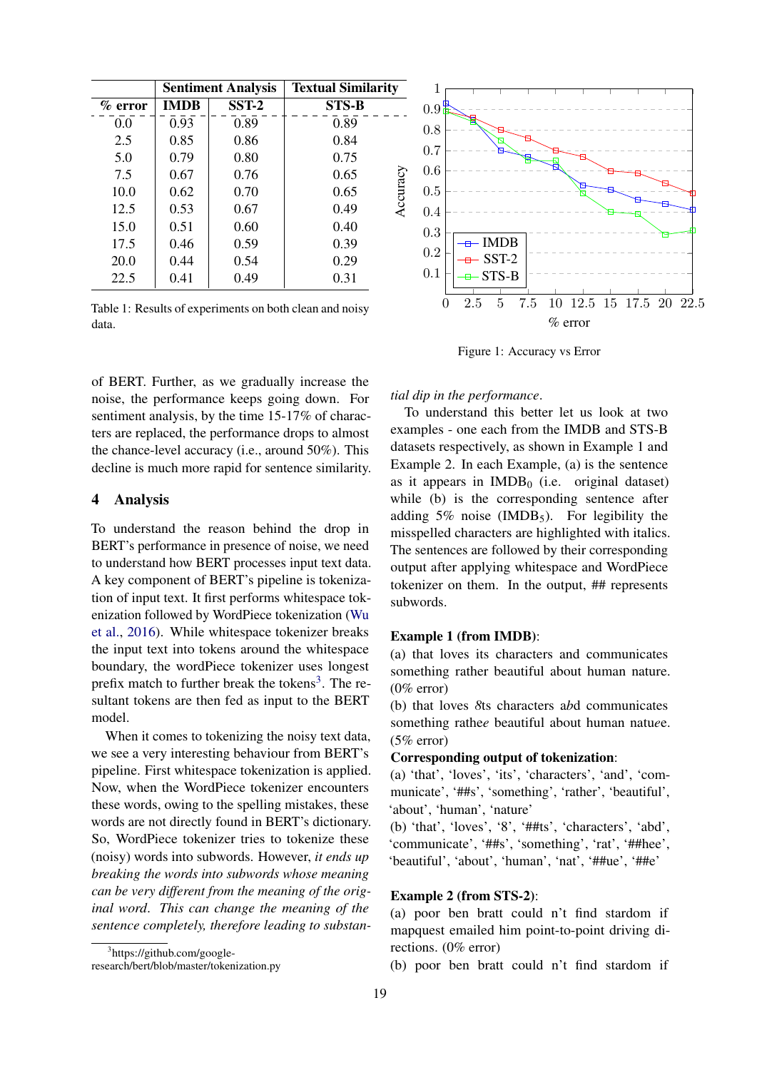<span id="page-3-0"></span>

|            | <b>Sentiment Analysis</b> |         | <b>Textual Similarity</b> |  |
|------------|---------------------------|---------|---------------------------|--|
| $\%$ error | <b>IMDB</b>               | $SST-2$ | <b>STS-B</b>              |  |
| 0.0        | 0.93                      | 0.89    | 0.89                      |  |
| 2.5        | 0.85                      | 0.86    | 0.84                      |  |
| 5.0        | 0.79                      | 0.80    | 0.75                      |  |
| 7.5        | 0.67                      | 0.76    | 0.65                      |  |
| 10.0       | 0.62                      | 0.70    | Accuracy<br>0.65          |  |
| 12.5       | 0.53                      | 0.67    | 0.49                      |  |
| 15.0       | 0.51                      | 0.60    | 0.40                      |  |
| 17.5       | 0.46                      | 0.59    | 0.39                      |  |
| 20.0       | 0.44                      | 0.54    | 0.29                      |  |
| 22.5       | 0.41                      | 0.49    | 0.31                      |  |

Table 1: Results of experiments on both clean and noisy data.

of BERT. Further, as we gradually increase the noise, the performance keeps going down. For sentiment analysis, by the time 15-17% of characters are replaced, the performance drops to almost the chance-level accuracy (i.e., around 50%). This decline is much more rapid for sentence similarity.

# 4 Analysis

To understand the reason behind the drop in BERT's performance in presence of noise, we need to understand how BERT processes input text data. A key component of BERT's pipeline is tokenization of input text. It first performs whitespace tokenization followed by WordPiece tokenization [\(Wu](#page-5-6) [et al.,](#page-5-6) [2016\)](#page-5-6). While whitespace tokenizer breaks the input text into tokens around the whitespace boundary, the wordPiece tokenizer uses longest prefix match to further break the tokens<sup>[3](#page-3-2)</sup>. The resultant tokens are then fed as input to the BERT model.

When it comes to tokenizing the noisy text data, we see a very interesting behaviour from BERT's pipeline. First whitespace tokenization is applied. Now, when the WordPiece tokenizer encounters these words, owing to the spelling mistakes, these words are not directly found in BERT's dictionary. So, WordPiece tokenizer tries to tokenize these (noisy) words into subwords. However, *it ends up breaking the words into subwords whose meaning can be very different from the meaning of the original word*. *This can change the meaning of the sentence completely, therefore leading to substan-*

<span id="page-3-1"></span>

Figure 1: Accuracy vs Error

*tial dip in the performance*.

To understand this better let us look at two examples - one each from the IMDB and STS-B datasets respectively, as shown in Example 1 and Example 2. In each Example, (a) is the sentence as it appears in  $IMDB<sub>0</sub>$  (i.e. original dataset) while (b) is the corresponding sentence after adding  $5\%$  noise (IMDB<sub>5</sub>). For legibility the misspelled characters are highlighted with italics. The sentences are followed by their corresponding output after applying whitespace and WordPiece tokenizer on them. In the output, ## represents subwords.

#### Example 1 (from IMDB):

(a) that loves its characters and communicates something rather beautiful about human nature. (0% error)

(b) that loves *8*ts characters a*b*d communicates something rathe*e* beautiful about human natu*e*e. (5% error)

## Corresponding output of tokenization:

(a) 'that', 'loves', 'its', 'characters', 'and', 'communicate', '##s', 'something', 'rather', 'beautiful', 'about', 'human', 'nature'

(b) 'that', 'loves', '8', '##ts', 'characters', 'abd', 'communicate', '##s', 'something', 'rat', '##hee', 'beautiful', 'about', 'human', 'nat', '##ue', '##e'

### Example 2 (from STS-2):

(a) poor ben bratt could n't find stardom if mapquest emailed him point-to-point driving directions. (0% error)

(b) poor ben bratt could n't find stardom if

<span id="page-3-2"></span><sup>3</sup> https://github.com/google-

research/bert/blob/master/tokenization.py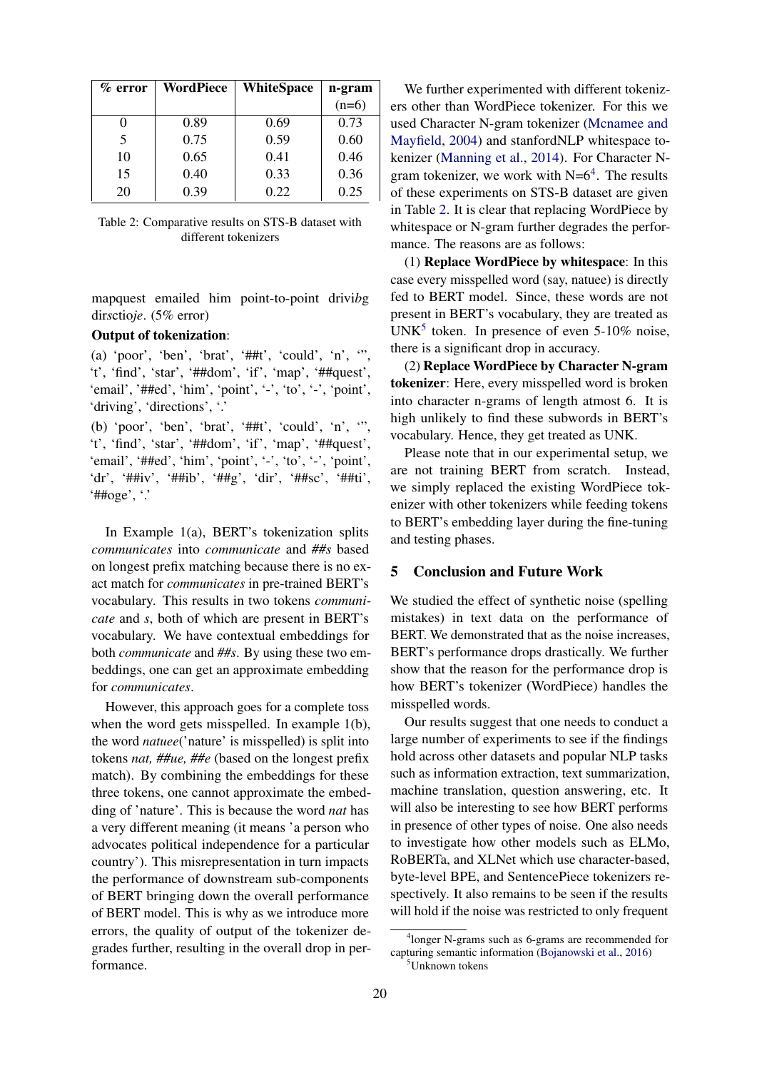<span id="page-4-1"></span>

| $\%$ error | WordPiece | <b>WhiteSpace</b> | n-gram  |
|------------|-----------|-------------------|---------|
|            |           |                   | $(n=6)$ |
|            | 0.89      | 0.69              | 0.73    |
| 5          | 0.75      | 0.59              | 0.60    |
| 10         | 0.65      | 0.41              | 0.46    |
| 15         | 0.40      | 0.33              | 0.36    |
| 20         | 0.39      | 0.22              | 0.25    |

Table 2: Comparative results on STS-B dataset with different tokenizers

mapquest emailed him point-to-point drivi*b*g dir*s*ctio*je*. (5% error)

## Output of tokenization:

(a) 'poor', 'ben', 'brat', ' $#$ #t', 'could', 'n', '", 't', 'find', 'star', '##dom', 'if', 'map', '##quest', 'email', '##ed', 'him', 'point', '-', 'to', '-', 'point', 'driving', 'directions', '.'

(b) 'poor', 'ben', 'brat', '##t', 'could', 'n', '", 't', 'find', 'star', '##dom', 'if', 'map', '##quest', 'email', '##ed', 'him', 'point', '-', 'to', '-', 'point', 'dr', '##iv', '##ib', '##g', 'dir', '##sc', '##ti', '##oge',  $\cdot$ '

In Example 1(a), BERT's tokenization splits *communicates* into *communicate* and *##s* based on longest prefix matching because there is no exact match for *communicates* in pre-trained BERT's vocabulary. This results in two tokens *communicate* and *s*, both of which are present in BERT's vocabulary. We have contextual embeddings for both *communicate* and *##s*. By using these two embeddings, one can get an approximate embedding for *communicates*.

However, this approach goes for a complete toss when the word gets misspelled. In example 1(b), the word *natuee*('nature' is misspelled) is split into tokens *nat, ##ue, ##e* (based on the longest prefix match). By combining the embeddings for these three tokens, one cannot approximate the embedding of 'nature'. This is because the word *nat* has a very different meaning (it means 'a person who advocates political independence for a particular country'). This misrepresentation in turn impacts the performance of downstream sub-components of BERT bringing down the overall performance of BERT model. This is why as we introduce more errors, the quality of output of the tokenizer degrades further, resulting in the overall drop in performance.

We further experimented with different tokenizers other than WordPiece tokenizer. For this we used Character N-gram tokenizer [\(Mcnamee and](#page-5-15) [Mayfield,](#page-5-15) [2004\)](#page-5-15) and stanfordNLP whitespace tokenizer [\(Manning et al.,](#page-5-16) [2014\)](#page-5-16). For Character Ngram tokenizer, we work with  $N=6<sup>4</sup>$  $N=6<sup>4</sup>$  $N=6<sup>4</sup>$ . The results of these experiments on STS-B dataset are given in Table [2.](#page-4-1) It is clear that replacing WordPiece by whitespace or N-gram further degrades the performance. The reasons are as follows:

(1) Replace WordPiece by whitespace: In this case every misspelled word (say, natuee) is directly fed to BERT model. Since, these words are not present in BERT's vocabulary, they are treated as UNK<sup>[5](#page-4-2)</sup> token. In presence of even  $5\n-10\%$  noise, there is a significant drop in accuracy.

(2) Replace WordPiece by Character N-gram tokenizer: Here, every misspelled word is broken into character n-grams of length atmost 6. It is high unlikely to find these subwords in BERT's vocabulary. Hence, they get treated as UNK.

Please note that in our experimental setup, we are not training BERT from scratch. Instead, we simply replaced the existing WordPiece tokenizer with other tokenizers while feeding tokens to BERT's embedding layer during the fine-tuning and testing phases.

# 5 Conclusion and Future Work

We studied the effect of synthetic noise (spelling mistakes) in text data on the performance of BERT. We demonstrated that as the noise increases, BERT's performance drops drastically. We further show that the reason for the performance drop is how BERT's tokenizer (WordPiece) handles the misspelled words.

Our results suggest that one needs to conduct a large number of experiments to see if the findings hold across other datasets and popular NLP tasks such as information extraction, text summarization, machine translation, question answering, etc. It will also be interesting to see how BERT performs in presence of other types of noise. One also needs to investigate how other models such as ELMo, RoBERTa, and XLNet which use character-based, byte-level BPE, and SentencePiece tokenizers respectively. It also remains to be seen if the results will hold if the noise was restricted to only frequent

<span id="page-4-2"></span><span id="page-4-0"></span><sup>4</sup> longer N-grams such as 6-grams are recommended for capturing semantic information [\(Bojanowski et al.,](#page-5-17) [2016\)](#page-5-17) <sup>5</sup>Unknown tokens